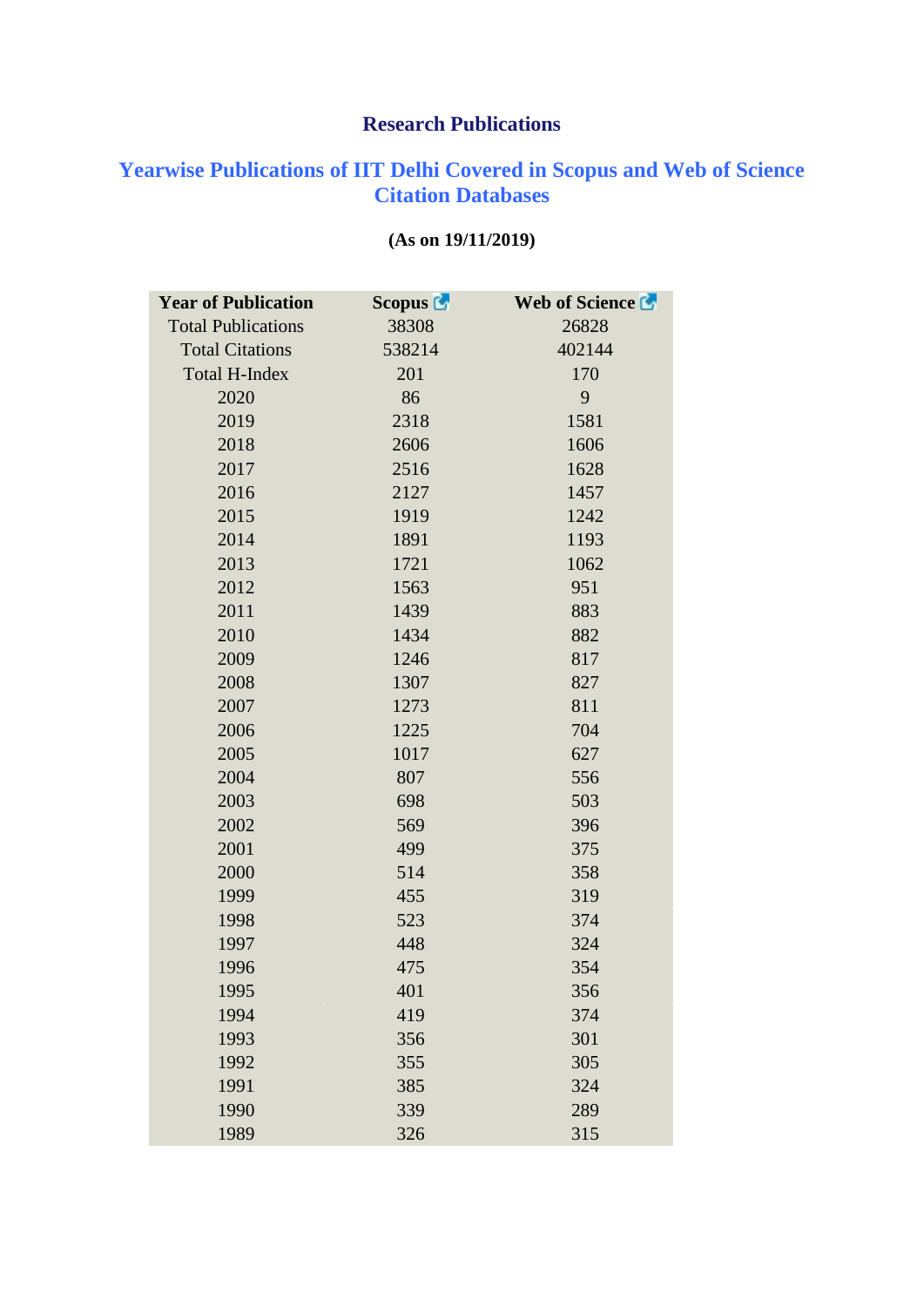## **Research Publications**

## **Yearwise Publications of IIT Delhi Covered in Scopus and Web of Science Citation Databases**

| <b>Year of Publication</b> | <b>Scopus</b> | Web of Science La |
|----------------------------|---------------|-------------------|
| <b>Total Publications</b>  | 38308         | 26828             |
| <b>Total Citations</b>     | 538214        | 402144            |
| <b>Total H-Index</b>       | 201           | 170               |
| 2020                       | 86            | 9                 |
| 2019                       | 2318          | 1581              |
| 2018                       | 2606          | 1606              |
| 2017                       | 2516          | 1628              |
| 2016                       | 2127          | 1457              |
| 2015                       | 1919          | 1242              |
| 2014                       | 1891          | 1193              |
| 2013                       | 1721          | 1062              |
| 2012                       | 1563          | 951               |
| 2011                       | 1439          | 883               |
| 2010                       | 1434          | 882               |
| 2009                       | 1246          | 817               |
| 2008                       | 1307          | 827               |
| 2007                       | 1273          | 811               |
| 2006                       | 1225          | 704               |
| 2005                       | 1017          | 627               |
| 2004                       | 807           | 556               |
| 2003                       | 698           | 503               |
| 2002                       | 569           | 396               |
| 2001                       | 499           | 375               |
| 2000                       | 514           | 358               |
| 1999                       | 455           | 319               |
| 1998                       | 523           | 374               |
| 1997                       | 448           | 324               |
| 1996                       | 475           | 354               |
| 1995                       | 401           | 356               |
| 1994                       | 419           | 374               |
| 1993                       | 356           | 301               |
| 1992                       | 355           | 305               |
| 1991                       | 385           | 324               |
| 1990                       | 339           | 289               |
| 1989                       | 326           | 315               |

## **(As on 19/11/2019)**